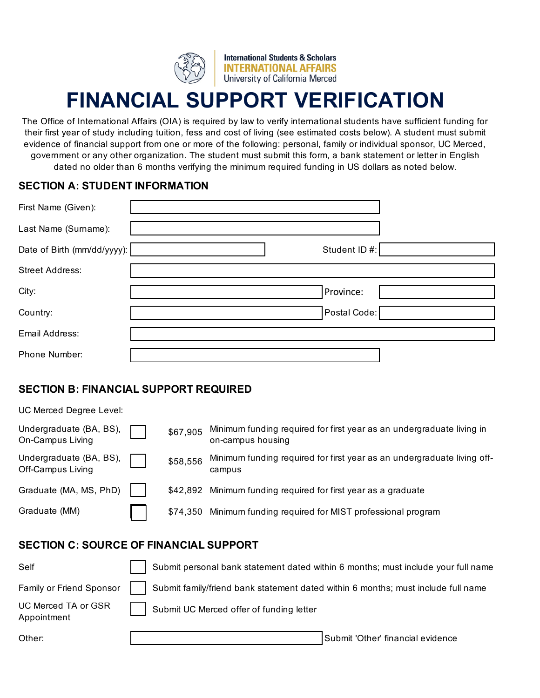

**International Students & Scholars INTERNATIONAL AFFAIRS** University of California Merced

# **FINANCIAL SUPPORT VERIFICATION**

The Office of International Affairs (OIA) is required by law to verify international students have sufficient funding for their first year of study including tuition, fess and cost of living (see estimated costs below). A student must submit evidence of financial support from one or more of the following: personal, family or individual sponsor, UC Merced, government or any other organization. The student must submit this form, a bank statement or letter in English dated no older than 6 months verifying the minimum required funding in US dollars as noted below.

### **SECTION A: STUDENT INFORMATION**

| First Name (Given):         |              |  |
|-----------------------------|--------------|--|
| Last Name (Surname):        |              |  |
| Date of Birth (mm/dd/yyyy): | Student ID#: |  |
| <b>Street Address:</b>      |              |  |
| City:                       | Province:    |  |
| Country:                    | Postal Code: |  |
| Email Address:              |              |  |
| Phone Number:               |              |  |

# **SECTION B: FINANCIAL SUPPORT REQUIRED**

UC Merced Degree Level:

| Undergraduate (BA, BS),<br>On-Campus Living  | \$67,905 | Minimum funding required for first year as an undergraduate living in<br>on-campus housing |
|----------------------------------------------|----------|--------------------------------------------------------------------------------------------|
| Undergraduate (BA, BS),<br>Off-Campus Living | \$58,556 | Minimum funding required for first year as an undergraduate living off-<br>campus          |
| Graduate (MA, MS, PhD)                       |          | \$42,892 Minimum funding required for first year as a graduate                             |
| Graduate (MM)                                |          | \$74,350 Minimum funding required for MIST professional program                            |
|                                              |          |                                                                                            |

## **SECTION C: SOURCE OF FINANCIAL SUPPORT**

| Self                               | Submit personal bank statement dated within 6 months; must include your full name |
|------------------------------------|-----------------------------------------------------------------------------------|
| Family or Friend Sponsor           | Submit family/friend bank statement dated within 6 months; must include full name |
| UC Merced TA or GSR<br>Appointment | Submit UC Merced offer of funding letter                                          |
| Other:                             | Submit 'Other' financial evidence                                                 |